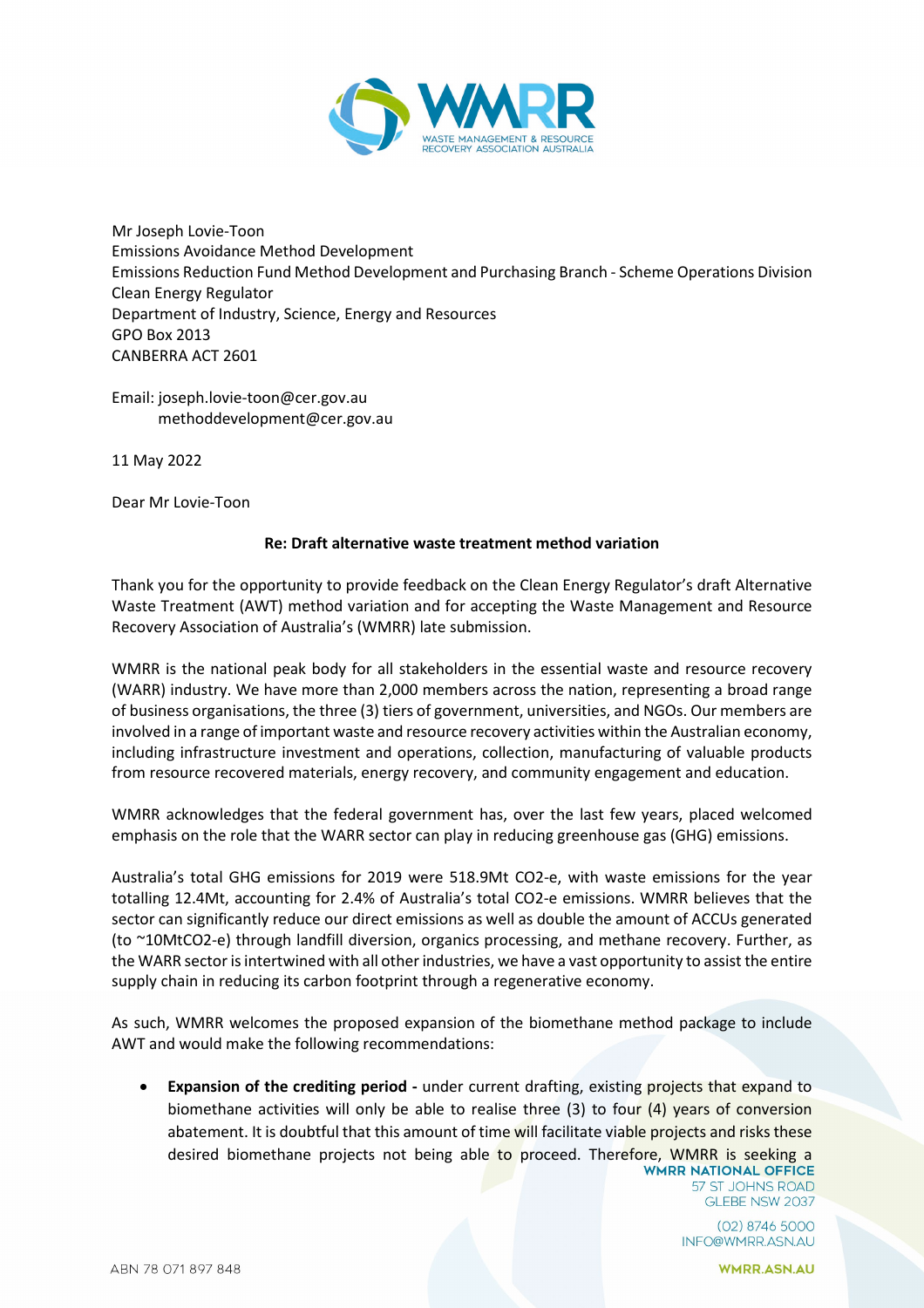

Mr Joseph Lovie-Toon Emissions Avoidance Method Development Emissions Reduction Fund Method Development and Purchasing Branch - Scheme Operations Division Clean Energy Regulator Department of Industry, Science, Energy and Resources GPO Box 2013 CANBERRA ACT 2601

Email: joseph.lovie-toon@cer.gov.au methoddevelopment@cer.gov.au

11 May 2022

Dear Mr Lovie-Toon

## **Re: Draft alternative waste treatment method variation**

Thank you for the opportunity to provide feedback on the Clean Energy Regulator's draft Alternative Waste Treatment (AWT) method variation and for accepting the Waste Management and Resource Recovery Association of Australia's (WMRR) late submission.

WMRR is the national peak body for all stakeholders in the essential waste and resource recovery (WARR) industry. We have more than 2,000 members across the nation, representing a broad range of business organisations, the three (3) tiers of government, universities, and NGOs. Our members are involved in a range of important waste and resource recovery activities within the Australian economy, including infrastructure investment and operations, collection, manufacturing of valuable products from resource recovered materials, energy recovery, and community engagement and education.

WMRR acknowledges that the federal government has, over the last few years, placed welcomed emphasis on the role that the WARR sector can play in reducing greenhouse gas (GHG) emissions.

Australia's total GHG emissions for 2019 were 518.9Mt CO2-e, with waste emissions for the year totalling 12.4Mt, accounting for 2.4% of Australia's total CO2-e emissions. WMRR believes that the sector can significantly reduce our direct emissions as well as double the amount of ACCUs generated (to ~10MtCO2-e) through landfill diversion, organics processing, and methane recovery. Further, as the WARR sector is intertwined with all other industries, we have a vast opportunity to assist the entire supply chain in reducing its carbon footprint through a regenerative economy.

As such, WMRR welcomes the proposed expansion of the biomethane method package to include AWT and would make the following recommendations:

• **Expansion of the crediting period -** under current drafting, existing projects that expand to biomethane activities will only be able to realise three (3) to four (4) years of conversion abatement. It is doubtful that this amount of time will facilitate viable projects and risks these desired biomethane projects not being able to proceed. Therefore, WMRR is seeking a

57 ST JOHNS ROAD GLEBE NSW 2037

 $(02)$  8746 5000 INFO@WMRR.ASN.AU

**WMRR.ASN.AU**